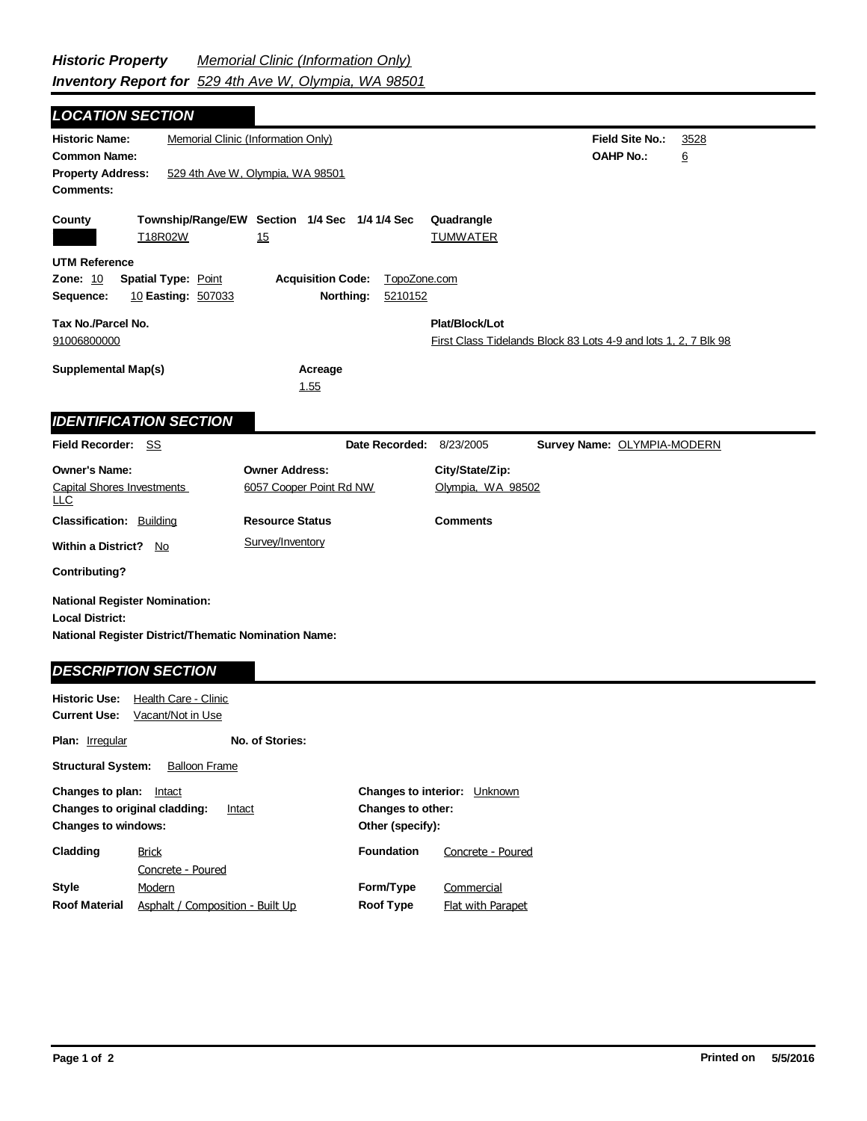**Field Site No.:** 3528 **OAHP No.:** 6 Historic Name: Memorial Clinic (Information Only) **Common Name: County Plat/Block/Lot** First Class Tidelands Block 83 Lots 4-9 and lots 1, 2, 7 Blk 98 **Acreage** 1.55 **Supplemental Map(s) Tax No./Parcel No.** 91006800000 **Property Address:** 529 4th Ave W, Olympia, WA 98501 *LOCATION SECTION* **Comments: Quadrangle UTM Reference Township/Range/EW Section 1/4 Sec 1/4 1/4 Sec Owner Address:** 6057 Cooper Point Rd NW **Field Recorder:** SS **Owner's Name:** Capital Shores Investments LLC **City/State/Zip:** Olympia, WA 98502 **National Register District/Thematic Nomination Name: Local District: Date Recorded:** 8/23/2005 **Classification:** Building **Within a District?** No **Contributing? Comments National Register Nomination:** Plan: **Irregular Other (specify): Historic Use:** Health Care - Clinic **Current Use:** Vacant/Not in Use **Structural System:** Balloon Frame **No. of Stories: Changes to plan:** Intact **Changes to original cladding:** Intact **Changes to windows: Changes to interior:** Unknown **Changes to other: Resource Status Survey Name:** OLYMPIA-MODERN *IDENTIFICATION SECTION DESCRIPTION SECTION* T18R02W 15 15 TUMWATER **Zone:** 10 **Spatial Type:** Point **Acquisition Code:** TopoZone.com **Sequence:** 10 **Easting:** 507033 **Northing:** 5210152 Survey/Inventory

| Cladding             | <b>Brick</b>                     | <b>Foundation</b> | Concrete - Poured |
|----------------------|----------------------------------|-------------------|-------------------|
|                      | Concrete - Poured                |                   |                   |
| <b>Style</b>         | Modern                           | Form/Type         | Commercial        |
| <b>Roof Material</b> | Asphalt / Composition - Built Up | Roof Type         | Flat with Parapet |